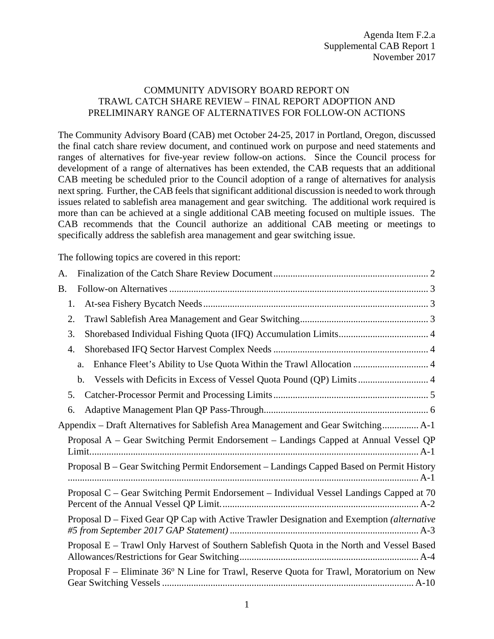### COMMUNITY ADVISORY BOARD REPORT ON TRAWL CATCH SHARE REVIEW – FINAL REPORT ADOPTION AND PRELIMINARY RANGE OF ALTERNATIVES FOR FOLLOW-ON ACTIONS

The Community Advisory Board (CAB) met October 24-25, 2017 in Portland, Oregon, discussed the final catch share review document, and continued work on purpose and need statements and ranges of alternatives for five-year review follow-on actions. Since the Council process for development of a range of alternatives has been extended, the CAB requests that an additional CAB meeting be scheduled prior to the Council adoption of a range of alternatives for analysis next spring. Further, the CAB feels that significant additional discussion is needed to work through issues related to sablefish area management and gear switching. The additional work required is more than can be achieved at a single additional CAB meeting focused on multiple issues. The CAB recommends that the Council authorize an additional CAB meeting or meetings to specifically address the sablefish area management and gear switching issue.

The following topics are covered in this report:

| А.                                                                                        |
|-------------------------------------------------------------------------------------------|
| <b>B.</b>                                                                                 |
| 1.                                                                                        |
| 2.                                                                                        |
| 3.                                                                                        |
| 4.                                                                                        |
| Enhance Fleet's Ability to Use Quota Within the Trawl Allocation  4<br>a.                 |
| Vessels with Deficits in Excess of Vessel Quota Pound (QP) Limits  4<br>b.                |
| 5.                                                                                        |
| 6.                                                                                        |
| Appendix – Draft Alternatives for Sablefish Area Management and Gear Switching A-1        |
| Proposal A – Gear Switching Permit Endorsement – Landings Capped at Annual Vessel QP      |
| Proposal B – Gear Switching Permit Endorsement – Landings Capped Based on Permit History  |
| Proposal C - Gear Switching Permit Endorsement - Individual Vessel Landings Capped at 70  |
| Proposal D – Fixed Gear QP Cap with Active Trawler Designation and Exemption (alternative |
| Proposal E - Trawl Only Harvest of Southern Sablefish Quota in the North and Vessel Based |
| Proposal F - Eliminate 36° N Line for Trawl, Reserve Quota for Trawl, Moratorium on New   |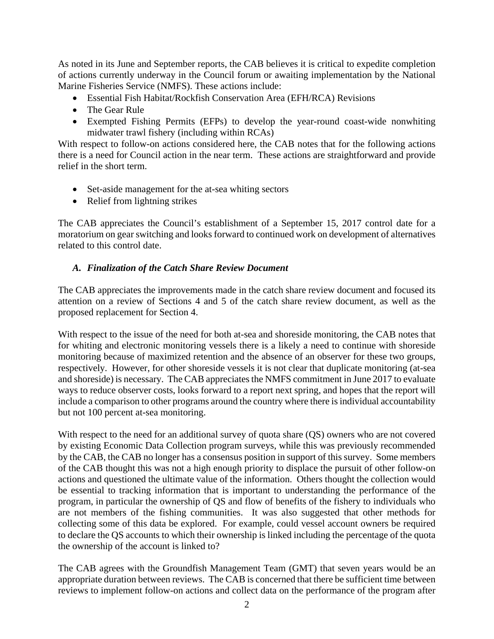As noted in its June and September reports, the CAB believes it is critical to expedite completion of actions currently underway in the Council forum or awaiting implementation by the National Marine Fisheries Service (NMFS). These actions include:

- Essential Fish Habitat/Rockfish Conservation Area (EFH/RCA) Revisions
- The Gear Rule
- Exempted Fishing Permits (EFPs) to develop the year-round coast-wide nonwhiting midwater trawl fishery (including within RCAs)

With respect to follow-on actions considered here, the CAB notes that for the following actions there is a need for Council action in the near term. These actions are straightforward and provide relief in the short term.

- Set-aside management for the at-sea whiting sectors
- Relief from lightning strikes

The CAB appreciates the Council's establishment of a September 15, 2017 control date for a moratorium on gear switching and looks forward to continued work on development of alternatives related to this control date.

## <span id="page-1-0"></span>*A. Finalization of the Catch Share Review Document*

The CAB appreciates the improvements made in the catch share review document and focused its attention on a review of Sections 4 and 5 of the catch share review document, as well as the proposed replacement for Section 4.

With respect to the issue of the need for both at-sea and shoreside monitoring, the CAB notes that for whiting and electronic monitoring vessels there is a likely a need to continue with shoreside monitoring because of maximized retention and the absence of an observer for these two groups, respectively. However, for other shoreside vessels it is not clear that duplicate monitoring (at-sea and shoreside) is necessary. The CAB appreciates the NMFS commitment in June 2017 to evaluate ways to reduce observer costs, looks forward to a report next spring, and hopes that the report will include a comparison to other programs around the country where there is individual accountability but not 100 percent at-sea monitoring.

With respect to the need for an additional survey of quota share (QS) owners who are not covered by existing Economic Data Collection program surveys, while this was previously recommended by the CAB, the CAB no longer has a consensus position in support of this survey. Some members of the CAB thought this was not a high enough priority to displace the pursuit of other follow-on actions and questioned the ultimate value of the information. Others thought the collection would be essential to tracking information that is important to understanding the performance of the program, in particular the ownership of QS and flow of benefits of the fishery to individuals who are not members of the fishing communities. It was also suggested that other methods for collecting some of this data be explored. For example, could vessel account owners be required to declare the QS accounts to which their ownership is linked including the percentage of the quota the ownership of the account is linked to?

The CAB agrees with the Groundfish Management Team (GMT) that seven years would be an appropriate duration between reviews. The CAB is concerned that there be sufficient time between reviews to implement follow-on actions and collect data on the performance of the program after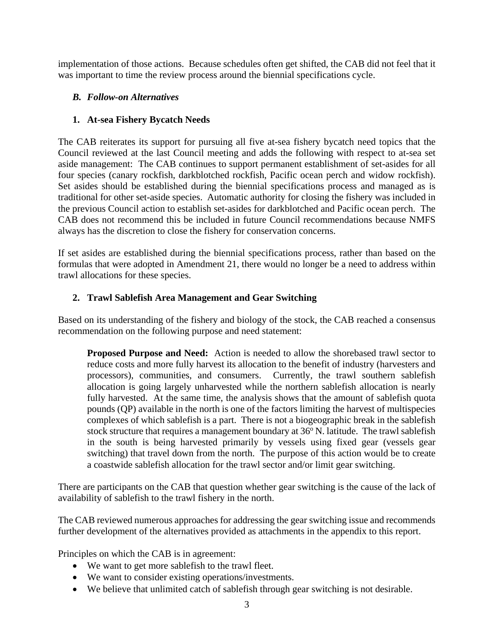implementation of those actions. Because schedules often get shifted, the CAB did not feel that it was important to time the review process around the biennial specifications cycle.

## <span id="page-2-0"></span>*B. Follow-on Alternatives*

## <span id="page-2-1"></span>**1. At-sea Fishery Bycatch Needs**

The CAB reiterates its support for pursuing all five at-sea fishery bycatch need topics that the Council reviewed at the last Council meeting and adds the following with respect to at-sea set aside management: The CAB continues to support permanent establishment of set-asides for all four species (canary rockfish, darkblotched rockfish, Pacific ocean perch and widow rockfish). Set asides should be established during the biennial specifications process and managed as is traditional for other set-aside species. Automatic authority for closing the fishery was included in the previous Council action to establish set-asides for darkblotched and Pacific ocean perch. The CAB does not recommend this be included in future Council recommendations because NMFS always has the discretion to close the fishery for conservation concerns.

If set asides are established during the biennial specifications process, rather than based on the formulas that were adopted in Amendment 21, there would no longer be a need to address within trawl allocations for these species.

## <span id="page-2-2"></span>**2. Trawl Sablefish Area Management and Gear Switching**

Based on its understanding of the fishery and biology of the stock, the CAB reached a consensus recommendation on the following purpose and need statement:

**Proposed Purpose and Need:** Action is needed to allow the shorebased trawl sector to reduce costs and more fully harvest its allocation to the benefit of industry (harvesters and processors), communities, and consumers. Currently, the trawl southern sablefish allocation is going largely unharvested while the northern sablefish allocation is nearly fully harvested. At the same time, the analysis shows that the amount of sablefish quota pounds (QP) available in the north is one of the factors limiting the harvest of multispecies complexes of which sablefish is a part. There is not a biogeographic break in the sablefish stock structure that requires a management boundary at  $36^{\circ}$  N. latitude. The trawl sablefish in the south is being harvested primarily by vessels using fixed gear (vessels gear switching) that travel down from the north. The purpose of this action would be to create a coastwide sablefish allocation for the trawl sector and/or limit gear switching.

There are participants on the CAB that question whether gear switching is the cause of the lack of availability of sablefish to the trawl fishery in the north.

The CAB reviewed numerous approaches for addressing the gear switching issue and recommends further development of the alternatives provided as attachments in the appendix to this report.

Principles on which the CAB is in agreement:

- We want to get more sable fish to the trawl fleet.
- We want to consider existing operations/investments.
- We believe that unlimited catch of sablefish through gear switching is not desirable.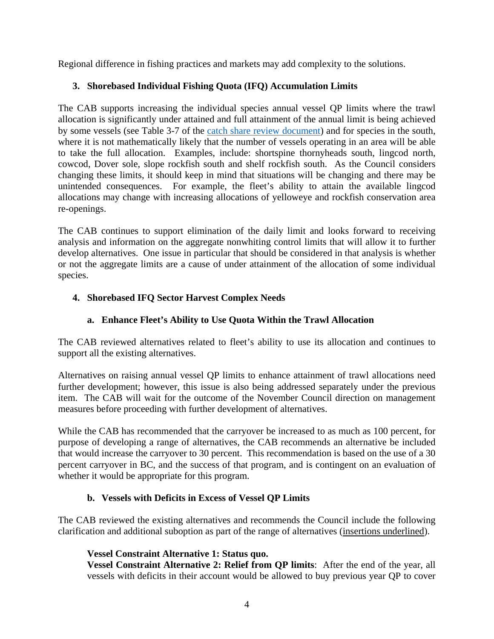Regional difference in fishing practices and markets may add complexity to the solutions.

# <span id="page-3-0"></span>**3. Shorebased Individual Fishing Quota (IFQ) Accumulation Limits**

The CAB supports increasing the individual species annual vessel QP limits where the trawl allocation is significantly under attained and full attainment of the annual limit is being achieved by some vessels (see Table 3-7 of the [catch share review document\)](http://www.pcouncil.org/wp-content/uploads/2017/08/5_Year_Review_August_Draft_for_public_review.pdf) and for species in the south, where it is not mathematically likely that the number of vessels operating in an area will be able to take the full allocation. Examples, include: shortspine thornyheads south, lingcod north, cowcod, Dover sole, slope rockfish south and shelf rockfish south. As the Council considers changing these limits, it should keep in mind that situations will be changing and there may be unintended consequences. For example, the fleet's ability to attain the available lingcod allocations may change with increasing allocations of yelloweye and rockfish conservation area re-openings.

The CAB continues to support elimination of the daily limit and looks forward to receiving analysis and information on the aggregate nonwhiting control limits that will allow it to further develop alternatives. One issue in particular that should be considered in that analysis is whether or not the aggregate limits are a cause of under attainment of the allocation of some individual species.

# <span id="page-3-1"></span>**4. Shorebased IFQ Sector Harvest Complex Needs**

# **a. Enhance Fleet's Ability to Use Quota Within the Trawl Allocation**

<span id="page-3-2"></span>The CAB reviewed alternatives related to fleet's ability to use its allocation and continues to support all the existing alternatives.

Alternatives on raising annual vessel QP limits to enhance attainment of trawl allocations need further development; however, this issue is also being addressed separately under the previous item. The CAB will wait for the outcome of the November Council direction on management measures before proceeding with further development of alternatives.

While the CAB has recommended that the carryover be increased to as much as 100 percent, for purpose of developing a range of alternatives, the CAB recommends an alternative be included that would increase the carryover to 30 percent. This recommendation is based on the use of a 30 percent carryover in BC, and the success of that program, and is contingent on an evaluation of whether it would be appropriate for this program.

# **b. Vessels with Deficits in Excess of Vessel QP Limits**

<span id="page-3-3"></span>The CAB reviewed the existing alternatives and recommends the Council include the following clarification and additional suboption as part of the range of alternatives (insertions underlined).

# **Vessel Constraint Alternative 1: Status quo.**

**Vessel Constraint Alternative 2: Relief from QP limits**: After the end of the year, all vessels with deficits in their account would be allowed to buy previous year QP to cover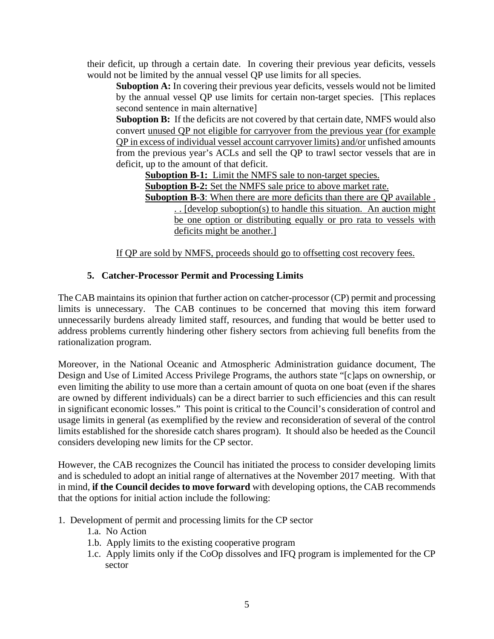their deficit, up through a certain date. In covering their previous year deficits, vessels would not be limited by the annual vessel QP use limits for all species.

**Suboption A:** In covering their previous year deficits, vessels would not be limited by the annual vessel QP use limits for certain non-target species. [This replaces second sentence in main alternative]

**Suboption B:** If the deficits are not covered by that certain date, NMFS would also convert unused QP not eligible for carryover from the previous year (for example QP in excess of individual vessel account carryover limits) and/or unfished amounts from the previous year's ACLs and sell the QP to trawl sector vessels that are in deficit, up to the amount of that deficit.

**Suboption B-1:** Limit the NMFS sale to non-target species.

**Suboption B-2:** Set the NMFS sale price to above market rate.

**Suboption B-3**: When there are more deficits than there are QP available . . . [develop suboption(s) to handle this situation. An auction might be one option or distributing equally or pro rata to vessels with deficits might be another.]

If QP are sold by NMFS, proceeds should go to offsetting cost recovery fees.

## **5. Catcher-Processor Permit and Processing Limits**

<span id="page-4-0"></span>The CAB maintains its opinion that further action on catcher-processor (CP) permit and processing limits is unnecessary. The CAB continues to be concerned that moving this item forward unnecessarily burdens already limited staff, resources, and funding that would be better used to address problems currently hindering other fishery sectors from achieving full benefits from the rationalization program.

Moreover, in the National Oceanic and Atmospheric Administration guidance document, The Design and Use of Limited Access Privilege Programs, the authors state "[c]aps on ownership, or even limiting the ability to use more than a certain amount of quota on one boat (even if the shares are owned by different individuals) can be a direct barrier to such efficiencies and this can result in significant economic losses." This point is critical to the Council's consideration of control and usage limits in general (as exemplified by the review and reconsideration of several of the control limits established for the shoreside catch shares program). It should also be heeded as the Council considers developing new limits for the CP sector.

However, the CAB recognizes the Council has initiated the process to consider developing limits and is scheduled to adopt an initial range of alternatives at the November 2017 meeting. With that in mind, **if the Council decides to move forward** with developing options, the CAB recommends that the options for initial action include the following:

- 1. Development of permit and processing limits for the CP sector
	- 1.a. No Action
	- 1.b. Apply limits to the existing cooperative program
	- 1.c. Apply limits only if the CoOp dissolves and IFQ program is implemented for the CP sector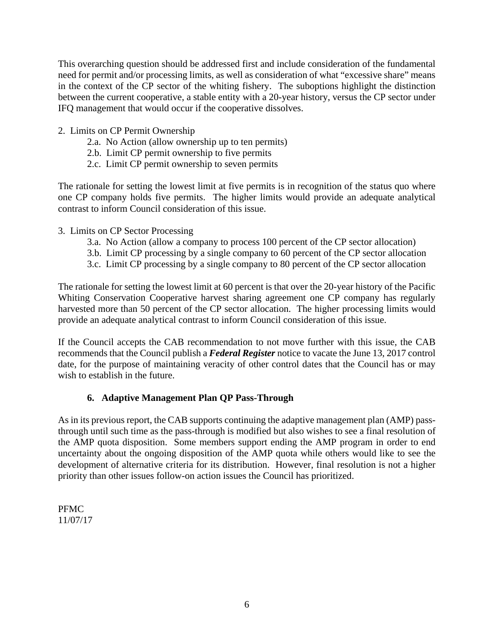This overarching question should be addressed first and include consideration of the fundamental need for permit and/or processing limits, as well as consideration of what "excessive share" means in the context of the CP sector of the whiting fishery. The suboptions highlight the distinction between the current cooperative, a stable entity with a 20-year history, versus the CP sector under IFQ management that would occur if the cooperative dissolves.

- 2. Limits on CP Permit Ownership
	- 2.a. No Action (allow ownership up to ten permits)
	- 2.b. Limit CP permit ownership to five permits
	- 2.c. Limit CP permit ownership to seven permits

The rationale for setting the lowest limit at five permits is in recognition of the status quo where one CP company holds five permits. The higher limits would provide an adequate analytical contrast to inform Council consideration of this issue.

- 3. Limits on CP Sector Processing
	- 3.a. No Action (allow a company to process 100 percent of the CP sector allocation)
	- 3.b. Limit CP processing by a single company to 60 percent of the CP sector allocation
	- 3.c. Limit CP processing by a single company to 80 percent of the CP sector allocation

The rationale for setting the lowest limit at 60 percent is that over the 20-year history of the Pacific Whiting Conservation Cooperative harvest sharing agreement one CP company has regularly harvested more than 50 percent of the CP sector allocation. The higher processing limits would provide an adequate analytical contrast to inform Council consideration of this issue.

If the Council accepts the CAB recommendation to not move further with this issue, the CAB recommends that the Council publish a *Federal Register* notice to vacate the June 13, 2017 control date, for the purpose of maintaining veracity of other control dates that the Council has or may wish to establish in the future.

## **6. Adaptive Management Plan QP Pass-Through**

<span id="page-5-0"></span>As in its previous report, the CAB supports continuing the adaptive management plan (AMP) passthrough until such time as the pass-through is modified but also wishes to see a final resolution of the AMP quota disposition. Some members support ending the AMP program in order to end uncertainty about the ongoing disposition of the AMP quota while others would like to see the development of alternative criteria for its distribution. However, final resolution is not a higher priority than other issues follow-on action issues the Council has prioritized.

PFMC 11/07/17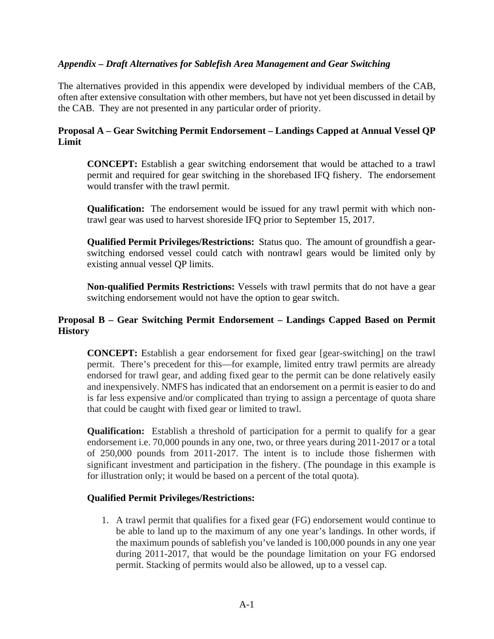## <span id="page-6-0"></span>*Appendix – Draft Alternatives for Sablefish Area Management and Gear Switching*

The alternatives provided in this appendix were developed by individual members of the CAB, often after extensive consultation with other members, but have not yet been discussed in detail by the CAB. They are not presented in any particular order of priority.

### <span id="page-6-1"></span>**Proposal A – Gear Switching Permit Endorsement – Landings Capped at Annual Vessel QP Limit**

**CONCEPT:** Establish a gear switching endorsement that would be attached to a trawl permit and required for gear switching in the shorebased IFQ fishery. The endorsement would transfer with the trawl permit.

**Qualification:** The endorsement would be issued for any trawl permit with which nontrawl gear was used to harvest shoreside IFQ prior to September 15, 2017.

**Qualified Permit Privileges/Restrictions:** Status quo. The amount of groundfish a gearswitching endorsed vessel could catch with nontrawl gears would be limited only by existing annual vessel QP limits.

**Non-qualified Permits Restrictions:** Vessels with trawl permits that do not have a gear switching endorsement would not have the option to gear switch.

## <span id="page-6-2"></span>**Proposal B – Gear Switching Permit Endorsement – Landings Capped Based on Permit History**

**CONCEPT:** Establish a gear endorsement for fixed gear [gear-switching] on the trawl permit. There's precedent for this—for example, limited entry trawl permits are already endorsed for trawl gear, and adding fixed gear to the permit can be done relatively easily and inexpensively. NMFS has indicated that an endorsement on a permit is easier to do and is far less expensive and/or complicated than trying to assign a percentage of quota share that could be caught with fixed gear or limited to trawl.

**Qualification:** Establish a threshold of participation for a permit to qualify for a gear endorsement i.e. 70,000 pounds in any one, two, or three years during 2011-2017 or a total of 250,000 pounds from 2011-2017. The intent is to include those fishermen with significant investment and participation in the fishery. (The poundage in this example is for illustration only; it would be based on a percent of the total quota).

#### **Qualified Permit Privileges/Restrictions:**

1. A trawl permit that qualifies for a fixed gear (FG) endorsement would continue to be able to land up to the maximum of any one year's landings. In other words, if the maximum pounds of sablefish you've landed is 100,000 pounds in any one year during 2011-2017, that would be the poundage limitation on your FG endorsed permit. Stacking of permits would also be allowed, up to a vessel cap.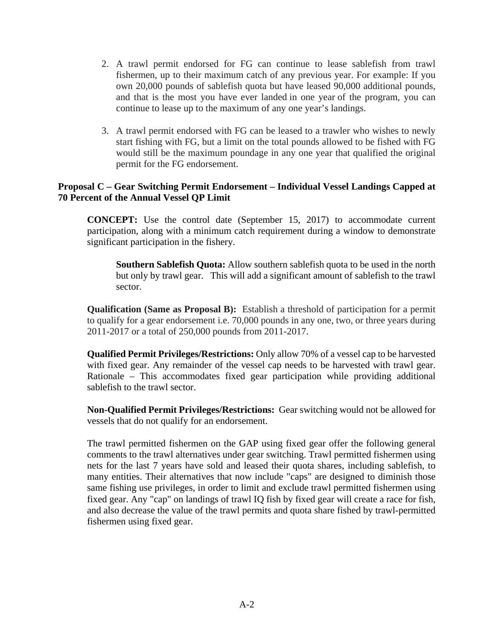- 2. A trawl permit endorsed for FG can continue to lease sablefish from trawl fishermen, up to their maximum catch of any previous year. For example: If you own 20,000 pounds of sablefish quota but have leased 90,000 additional pounds, and that is the most you have ever landed in one year of the program, you can continue to lease up to the maximum of any one year's landings.
- 3. A trawl permit endorsed with FG can be leased to a trawler who wishes to newly start fishing with FG, but a limit on the total pounds allowed to be fished with FG would still be the maximum poundage in any one year that qualified the original permit for the FG endorsement.

## <span id="page-7-0"></span>**Proposal C – Gear Switching Permit Endorsement – Individual Vessel Landings Capped at 70 Percent of the Annual Vessel QP Limit**

**CONCEPT:** Use the control date (September 15, 2017) to accommodate current participation, along with a minimum catch requirement during a window to demonstrate significant participation in the fishery.

**Southern Sablefish Quota:** Allow southern sablefish quota to be used in the north but only by trawl gear. This will add a significant amount of sablefish to the trawl sector.

**Qualification (Same as Proposal B):** Establish a threshold of participation for a permit to qualify for a gear endorsement i.e. 70,000 pounds in any one, two, or three years during 2011-2017 or a total of 250,000 pounds from 2011-2017.

**Qualified Permit Privileges/Restrictions:** Only allow 70% of a vessel cap to be harvested with fixed gear. Any remainder of the vessel cap needs to be harvested with trawl gear. Rationale – This accommodates fixed gear participation while providing additional sablefish to the trawl sector.

**Non-Qualified Permit Privileges/Restrictions:** Gear switching would not be allowed for vessels that do not qualify for an endorsement.

The trawl permitted fishermen on the GAP using fixed gear offer the following general comments to the trawl alternatives under gear switching. Trawl permitted fishermen using nets for the last 7 years have sold and leased their quota shares, including sablefish, to many entities. Their alternatives that now include "caps" are designed to diminish those same fishing use privileges, in order to limit and exclude trawl permitted fishermen using fixed gear. Any "cap" on landings of trawl IQ fish by fixed gear will create a race for fish, and also decrease the value of the trawl permits and quota share fished by trawl-permitted fishermen using fixed gear.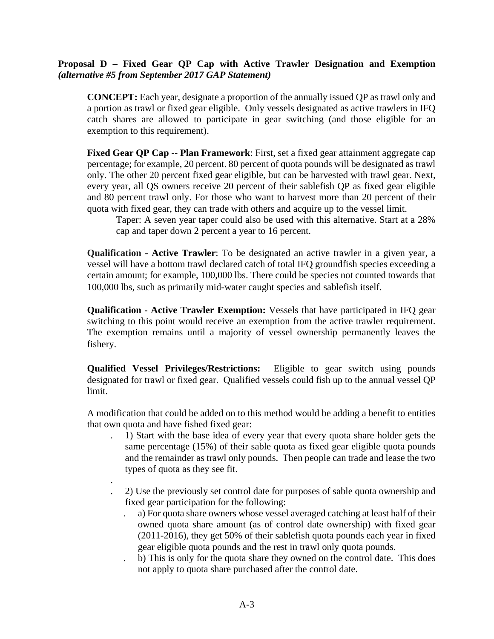### <span id="page-8-0"></span>**Proposal D – Fixed Gear QP Cap with Active Trawler Designation and Exemption** *(alternative #5 from September 2017 GAP Statement)*

**CONCEPT:** Each year, designate a proportion of the annually issued QP as trawl only and a portion as trawl or fixed gear eligible. Only vessels designated as active trawlers in IFQ catch shares are allowed to participate in gear switching (and those eligible for an exemption to this requirement).

**Fixed Gear QP Cap -- Plan Framework**: First, set a fixed gear attainment aggregate cap percentage; for example, 20 percent. 80 percent of quota pounds will be designated as trawl only. The other 20 percent fixed gear eligible, but can be harvested with trawl gear. Next, every year, all QS owners receive 20 percent of their sablefish QP as fixed gear eligible and 80 percent trawl only. For those who want to harvest more than 20 percent of their quota with fixed gear, they can trade with others and acquire up to the vessel limit.

Taper: A seven year taper could also be used with this alternative. Start at a 28% cap and taper down 2 percent a year to 16 percent.

**Qualification - Active Trawler**: To be designated an active trawler in a given year, a vessel will have a bottom trawl declared catch of total IFQ groundfish species exceeding a certain amount; for example, 100,000 lbs. There could be species not counted towards that 100,000 lbs, such as primarily mid-water caught species and sablefish itself.

**Qualification - Active Trawler Exemption:** Vessels that have participated in IFQ gear switching to this point would receive an exemption from the active trawler requirement. The exemption remains until a majority of vessel ownership permanently leaves the fishery.

**Qualified Vessel Privileges/Restrictions:** Eligible to gear switch using pounds designated for trawl or fixed gear. Qualified vessels could fish up to the annual vessel QP limit.

A modification that could be added on to this method would be adding a benefit to entities that own quota and have fished fixed gear:

- . 1) Start with the base idea of every year that every quota share holder gets the same percentage (15%) of their sable quota as fixed gear eligible quota pounds and the remainder as trawl only pounds. Then people can trade and lease the two types of quota as they see fit.
- . . 2) Use the previously set control date for purposes of sable quota ownership and fixed gear participation for the following:
	- . a) For quota share owners whose vessel averaged catching at least half of their owned quota share amount (as of control date ownership) with fixed gear (2011-2016), they get 50% of their sablefish quota pounds each year in fixed gear eligible quota pounds and the rest in trawl only quota pounds.
	- . b) This is only for the quota share they owned on the control date. This does not apply to quota share purchased after the control date.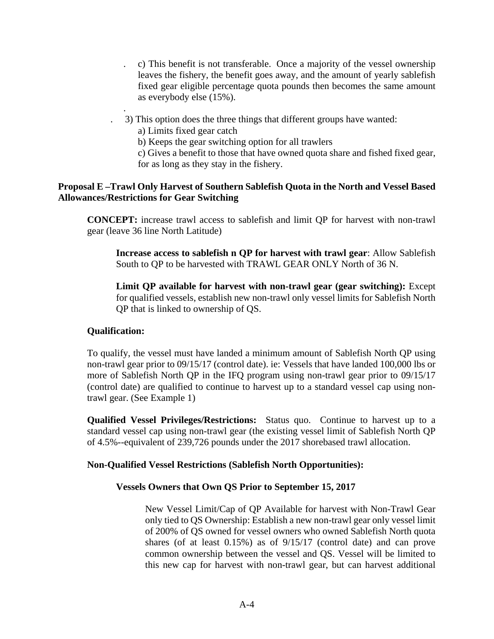- . c) This benefit is not transferable. Once a majority of the vessel ownership leaves the fishery, the benefit goes away, and the amount of yearly sablefish fixed gear eligible percentage quota pounds then becomes the same amount as everybody else (15%).
- . 3) This option does the three things that different groups have wanted:

a) Limits fixed gear catch

b) Keeps the gear switching option for all trawlers

c) Gives a benefit to those that have owned quota share and fished fixed gear, for as long as they stay in the fishery.

### <span id="page-9-0"></span>**Proposal E –Trawl Only Harvest of Southern Sablefish Quota in the North and Vessel Based Allowances/Restrictions for Gear Switching**

**CONCEPT:** increase trawl access to sablefish and limit QP for harvest with non-trawl gear (leave 36 line North Latitude)

**Increase access to sablefish n QP for harvest with trawl gear**: Allow Sablefish South to QP to be harvested with TRAWL GEAR ONLY North of 36 N.

**Limit QP available for harvest with non-trawl gear (gear switching):** Except for qualified vessels, establish new non-trawl only vessel limits for Sablefish North QP that is linked to ownership of QS.

## **Qualification:**

.

To qualify, the vessel must have landed a minimum amount of Sablefish North QP using non-trawl gear prior to 09/15/17 (control date). ie: Vessels that have landed 100,000 lbs or more of Sablefish North QP in the IFQ program using non-trawl gear prior to 09/15/17 (control date) are qualified to continue to harvest up to a standard vessel cap using nontrawl gear. (See Example 1)

**Qualified Vessel Privileges/Restrictions:** Status quo. Continue to harvest up to a standard vessel cap using non-trawl gear (the existing vessel limit of Sablefish North QP of 4.5%--equivalent of 239,726 pounds under the 2017 shorebased trawl allocation.

#### **Non-Qualified Vessel Restrictions (Sablefish North Opportunities):**

#### **Vessels Owners that Own QS Prior to September 15, 2017**

New Vessel Limit/Cap of QP Available for harvest with Non-Trawl Gear only tied to QS Ownership: Establish a new non-trawl gear only vessel limit of 200% of QS owned for vessel owners who owned Sablefish North quota shares (of at least 0.15%) as of 9/15/17 (control date) and can prove common ownership between the vessel and QS. Vessel will be limited to this new cap for harvest with non-trawl gear, but can harvest additional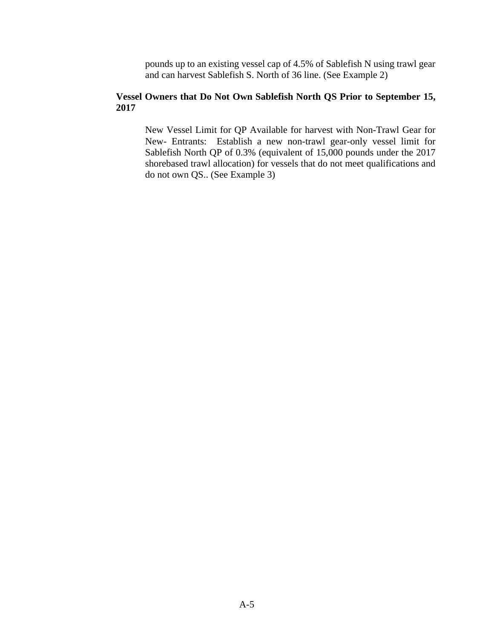pounds up to an existing vessel cap of 4.5% of Sablefish N using trawl gear and can harvest Sablefish S. North of 36 line. (See Example 2)

#### **Vessel Owners that Do Not Own Sablefish North QS Prior to September 15, 2017**

New Vessel Limit for QP Available for harvest with Non-Trawl Gear for New- Entrants: Establish a new non-trawl gear-only vessel limit for Sablefish North QP of 0.3% (equivalent of 15,000 pounds under the 2017 shorebased trawl allocation) for vessels that do not meet qualifications and do not own QS.. (See Example 3)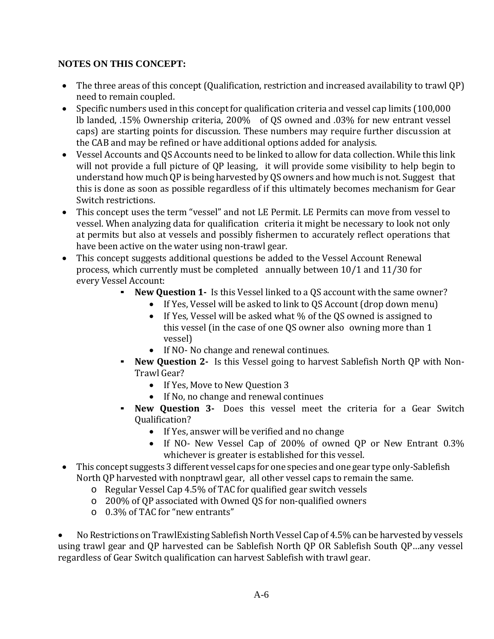# **NOTES ON THIS CONCEPT:**

- The three areas of this concept (Qualification, restriction and increased availability to trawl QP) need to remain coupled.
- Specific numbers used in this concept for qualification criteria and vessel cap limits (100,000 lb landed, .15% Ownership criteria, 200% of QS owned and .03% for new entrant vessel caps) are starting points for discussion. These numbers may require further discussion at the CAB and may be refined or have additional options added for analysis.
- Vessel Accounts and QS Accounts need to be linked to allow for data collection. While this link will not provide a full picture of QP leasing, it will provide some visibility to help begin to understand how much QP is being harvested by QS owners and how much is not. Suggest that this is done as soon as possible regardless of if this ultimately becomes mechanism for Gear Switch restrictions.
- This concept uses the term "vessel" and not LE Permit. LE Permits can move from vessel to vessel. When analyzing data for qualification criteria it might be necessary to look not only at permits but also at vessels and possibly fishermen to accurately reflect operations that have been active on the water using non-trawl gear.
- This concept suggests additional questions be added to the Vessel Account Renewal process, which currently must be completed annually between 10/1 and 11/30 for every Vessel Account:<br>New Ou
	- **New Question 1-** Is this Vessel linked to a QS account with the same owner?
		- If Yes, Vessel will be asked to link to QS Account (drop down menu)
		- If Yes, Vessel will be asked what % of the QS owned is assigned to this vessel (in the case of one QS owner also owning more than 1 vessel)
		- If NO- No change and renewal continues.
	- **New Question 2-** Is this Vessel going to harvest Sablefish North QP with Non-Trawl Gear?
		- If Yes, Move to New Question 3
		- If No, no change and renewal continues
	- **New Question 3-** Does this vessel meet the criteria for a Gear Switch Qualification?
		- If Yes, answer will be verified and no change
		- If NO- New Vessel Cap of 200% of owned QP or New Entrant 0.3% whichever is greater is established for this vessel.
- This concept suggests 3 different vessel caps for one species and one gear type only-Sablefish North QP harvested with nonptrawl gear, all other vessel caps to remain the same.
	- o Regular Vessel Cap 4.5% of TAC for qualified gear switch vessels
	- o 200% of QP associated with Owned QS for non-qualified owners
	- o 0.3% of TAC for "new entrants"

• No Restrictions on TrawlExisting Sablefish North Vessel Cap of 4.5% can be harvested by vessels using trawl gear and QP harvested can be Sablefish North QP OR Sablefish South QP…any vessel regardless of Gear Switch qualification can harvest Sablefish with trawl gear.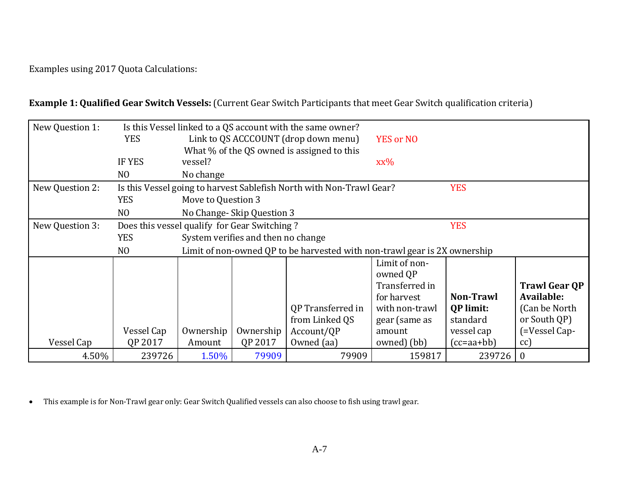Examples using 2017 Quota Calculations:

**Example 1: Qualified Gear Switch Vessels:** (Current Gear Switch Participants that meet Gear Switch qualification criteria)

| New Question 1: | Is this Vessel linked to a QS account with the same owner? |                                                                                    |                           |                   |                |                  |                      |
|-----------------|------------------------------------------------------------|------------------------------------------------------------------------------------|---------------------------|-------------------|----------------|------------------|----------------------|
|                 | <b>YES</b>                                                 | Link to QS ACCCOUNT (drop down menu)<br><b>YES or NO</b>                           |                           |                   |                |                  |                      |
|                 |                                                            | What % of the QS owned is assigned to this                                         |                           |                   |                |                  |                      |
|                 | IF YES                                                     | vessel?                                                                            |                           |                   | XX%            |                  |                      |
|                 | N <sub>O</sub>                                             | No change                                                                          |                           |                   |                |                  |                      |
| New Question 2: |                                                            | <b>YES</b><br>Is this Vessel going to harvest Sablefish North with Non-Trawl Gear? |                           |                   |                |                  |                      |
|                 | <b>YES</b>                                                 | Move to Question 3                                                                 |                           |                   |                |                  |                      |
|                 | N <sub>O</sub>                                             |                                                                                    | No Change-Skip Question 3 |                   |                |                  |                      |
| New Question 3: |                                                            | Does this vessel qualify for Gear Switching?<br><b>YES</b>                         |                           |                   |                |                  |                      |
|                 | <b>YES</b>                                                 | System verifies and then no change                                                 |                           |                   |                |                  |                      |
|                 | N <sub>O</sub>                                             | Limit of non-owned QP to be harvested with non-trawl gear is 2X ownership          |                           |                   |                |                  |                      |
|                 |                                                            |                                                                                    |                           |                   | Limit of non-  |                  |                      |
|                 |                                                            |                                                                                    |                           |                   | owned QP       |                  |                      |
|                 |                                                            |                                                                                    |                           |                   | Transferred in |                  | <b>Trawl Gear QP</b> |
|                 |                                                            |                                                                                    |                           |                   | for harvest    | Non-Trawl        | Available:           |
|                 |                                                            |                                                                                    |                           | QP Transferred in | with non-trawl | <b>QP</b> limit: | (Can be North)       |
|                 |                                                            |                                                                                    |                           | from Linked QS    | gear (same as  | standard         | or South QP)         |
|                 | Vessel Cap                                                 | Ownership                                                                          | Ownership                 | Account/QP        | amount         | vessel cap       | (=Vessel Cap-        |
| Vessel Cap      | QP 2017                                                    | Amount                                                                             | QP 2017                   | Owned (aa)        | owned) (bb)    | (cc=aa+bb)       | cc)                  |
| 4.50%           | 239726                                                     | 1.50%                                                                              | 79909                     | 79909             | 159817         | 239726           | $\boldsymbol{0}$     |

• This example is for Non-Trawl gear only: Gear Switch Qualified vessels can also choose to fish using trawl gear.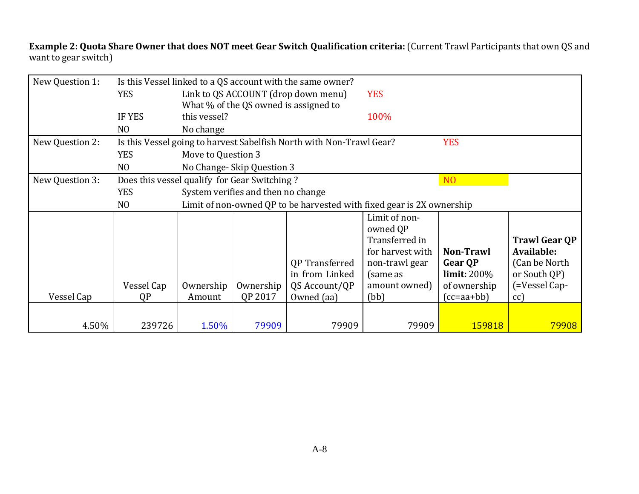**Example 2: Quota Share Owner that does NOT meet Gear Switch Qualification criteria:** (Current Trawl Participants that own QS and want to gear switch)

| New Question 1: | Is this Vessel linked to a QS account with the same owner? |                                                                                    |           |                       |                  |                  |                      |
|-----------------|------------------------------------------------------------|------------------------------------------------------------------------------------|-----------|-----------------------|------------------|------------------|----------------------|
|                 | <b>YES</b>                                                 | Link to QS ACCOUNT (drop down menu)<br><b>YES</b>                                  |           |                       |                  |                  |                      |
|                 |                                                            | What % of the QS owned is assigned to                                              |           |                       |                  |                  |                      |
|                 | <b>IF YES</b>                                              | this vessel?                                                                       |           |                       | 100%             |                  |                      |
|                 | N <sub>O</sub>                                             | No change                                                                          |           |                       |                  |                  |                      |
| New Question 2: |                                                            | Is this Vessel going to harvest Sabelfish North with Non-Trawl Gear?<br><b>YES</b> |           |                       |                  |                  |                      |
|                 | <b>YES</b>                                                 | Move to Question 3                                                                 |           |                       |                  |                  |                      |
|                 | N <sub>O</sub>                                             | No Change-Skip Question 3                                                          |           |                       |                  |                  |                      |
| New Question 3: |                                                            | Does this vessel qualify for Gear Switching?<br>N <sub>O</sub>                     |           |                       |                  |                  |                      |
|                 | <b>YES</b>                                                 | System verifies and then no change                                                 |           |                       |                  |                  |                      |
|                 | N <sub>O</sub>                                             | Limit of non-owned QP to be harvested with fixed gear is 2X ownership              |           |                       |                  |                  |                      |
|                 |                                                            |                                                                                    |           |                       | Limit of non-    |                  |                      |
|                 |                                                            |                                                                                    |           |                       | owned QP         |                  |                      |
|                 |                                                            |                                                                                    |           |                       | Transferred in   |                  | <b>Trawl Gear QP</b> |
|                 |                                                            |                                                                                    |           |                       | for harvest with | <b>Non-Trawl</b> | Available:           |
|                 |                                                            |                                                                                    |           | <b>QP</b> Transferred | non-trawl gear   | <b>Gear OP</b>   | (Can be North)       |
|                 |                                                            |                                                                                    |           | in from Linked        | (same as         | $\lim$ it: 200%  | or South QP)         |
|                 | Vessel Cap                                                 | Ownership                                                                          | Ownership | QS Account/QP         | amount owned)    | of ownership     | (=Vessel Cap-        |
| Vessel Cap      | QP                                                         | Amount                                                                             | QP 2017   | Owned (aa)            | (bb)             | $(cc = aa + bb)$ | cc)                  |
|                 |                                                            |                                                                                    |           |                       |                  |                  |                      |
| 4.50%           | 239726                                                     | 1.50%                                                                              | 79909     | 79909                 | 79909            | 159818           | 79908                |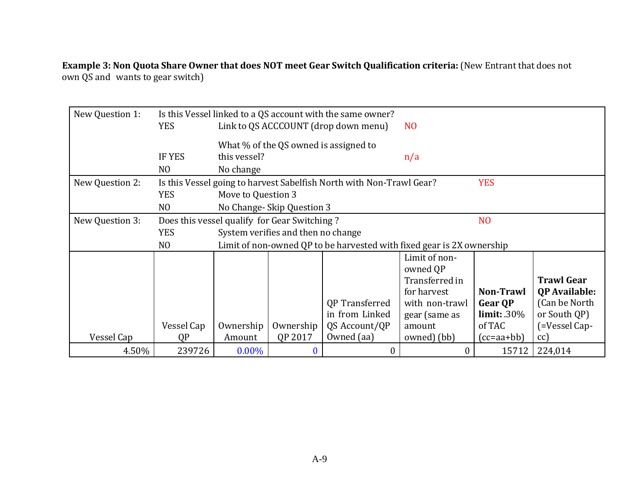**Example 3: Non Quota Share Owner that does NOT meet Gear Switch Qualification criteria:** (New Entrant that does not own QS and wants to gear switch)

| New Question 1: | Is this Vessel linked to a QS account with the same owner? |                                                                                    |                                    |                       |                |                |                      |
|-----------------|------------------------------------------------------------|------------------------------------------------------------------------------------|------------------------------------|-----------------------|----------------|----------------|----------------------|
|                 | <b>YES</b>                                                 | Link to QS ACCCOUNT (drop down menu)<br>N <sub>O</sub>                             |                                    |                       |                |                |                      |
|                 |                                                            | What % of the QS owned is assigned to                                              |                                    |                       |                |                |                      |
|                 | <b>IF YES</b>                                              | this vessel?                                                                       |                                    |                       | n/a            |                |                      |
|                 | N <sub>O</sub>                                             | No change                                                                          |                                    |                       |                |                |                      |
| New Question 2: |                                                            | <b>YES</b><br>Is this Vessel going to harvest Sabelfish North with Non-Trawl Gear? |                                    |                       |                |                |                      |
|                 | <b>YES</b>                                                 | Move to Question 3                                                                 |                                    |                       |                |                |                      |
|                 | N <sub>O</sub>                                             |                                                                                    | No Change-Skip Question 3          |                       |                |                |                      |
| New Question 3: |                                                            | Does this vessel qualify for Gear Switching?<br>N <sub>O</sub>                     |                                    |                       |                |                |                      |
|                 | <b>YES</b>                                                 |                                                                                    | System verifies and then no change |                       |                |                |                      |
|                 | N <sub>O</sub>                                             | Limit of non-owned QP to be harvested with fixed gear is 2X ownership              |                                    |                       |                |                |                      |
|                 |                                                            |                                                                                    |                                    |                       | Limit of non-  |                |                      |
|                 |                                                            |                                                                                    |                                    |                       | owned QP       |                |                      |
|                 |                                                            |                                                                                    |                                    |                       | Transferred in |                | <b>Trawl Gear</b>    |
|                 |                                                            |                                                                                    |                                    |                       | for harvest    | Non-Trawl      | <b>QP</b> Available: |
|                 |                                                            |                                                                                    |                                    | <b>QP</b> Transferred | with non-trawl | <b>Gear OP</b> | (Can be North)       |
|                 |                                                            |                                                                                    |                                    | in from Linked        | gear (same as  | limit: .30%    | or South QP)         |
|                 | Vessel Cap                                                 | Ownership                                                                          | Ownership                          | QS Account/QP         | amount         | of TAC         | (=Vessel Cap-        |
| Vessel Cap      | QP                                                         | Amount                                                                             | QP 2017                            | Owned (aa)            | owned) (bb)    | $(cc=aa+bb)$   | cc)                  |
| 4.50%           | 239726                                                     | $0.00\%$                                                                           | $\bf{0}$                           | 0                     | $\theta$       | 15712          | 224,014              |